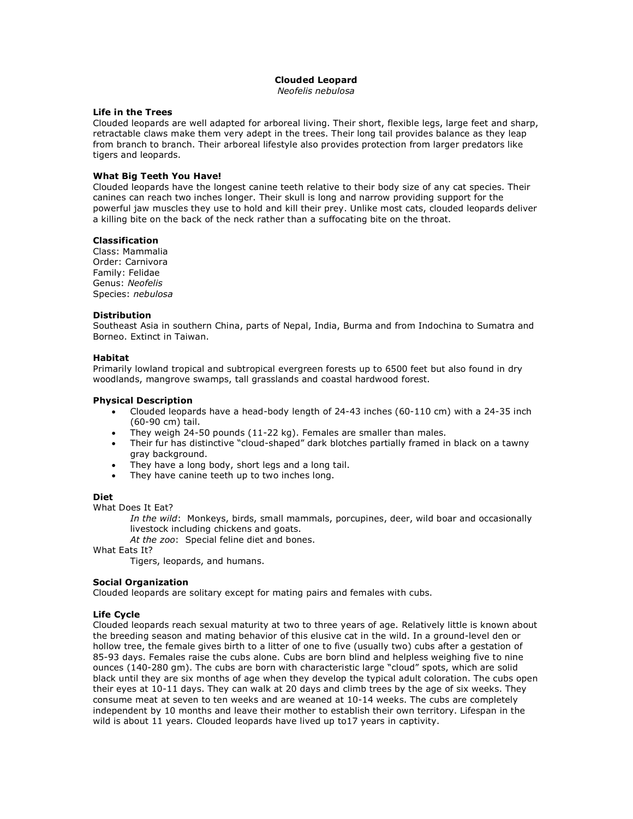# **Clouded Leopard**

*Neofelis nebulosa*

# **Life in the Trees**

Clouded leopards are well adapted for arboreal living. Their short, flexible legs, large feet and sharp, retractable claws make them very adept in the trees. Their long tail provides balance as they leap from branch to branch. Their arboreal lifestyle also provides protection from larger predators like tigers and leopards.

# **What Big Teeth You Have!**

Clouded leopards have the longest canine teeth relative to their body size of any cat species. Their canines can reach two inches longer. Their skull is long and narrow providing support for the powerful jaw muscles they use to hold and kill their prey. Unlike most cats, clouded leopards deliver a killing bite on the back of the neck rather than a suffocating bite on the throat.

# **Classification**

Class: Mammalia Order: Carnivora Family: Felidae Genus: *Neofelis* Species: *nebulosa*

# **Distribution**

Southeast Asia in southern China, parts of Nepal, India, Burma and from Indochina to Sumatra and Borneo. Extinct in Taiwan.

# **Habitat**

Primarily lowland tropical and subtropical evergreen forests up to 6500 feet but also found in dry woodlands, mangrove swamps, tall grasslands and coastal hardwood forest.

# **Physical Description**

- Clouded leopards have a head-body length of 24-43 inches (60-110 cm) with a 24-35 inch (60-90 cm) tail.
- They weigh 24-50 pounds (11-22 kg). Females are smaller than males.
- Their fur has distinctive "cloud-shaped" dark blotches partially framed in black on a tawny gray background.
- They have a long body, short legs and a long tail.
- They have canine teeth up to two inches long.

# **Diet**

What Does It Eat?

*In the wild*: Monkeys, birds, small mammals, porcupines, deer, wild boar and occasionally livestock including chickens and goats.

*At the zoo*: Special feline diet and bones.

What Eats It?

Tigers, leopards, and humans.

# **Social Organization**

Clouded leopards are solitary except for mating pairs and females with cubs.

# **Life Cycle**

Clouded leopards reach sexual maturity at two to three years of age. Relatively little is known about the breeding season and mating behavior of this elusive cat in the wild. In a ground-level den or hollow tree, the female gives birth to a litter of one to five (usually two) cubs after a gestation of 85-93 days. Females raise the cubs alone. Cubs are born blind and helpless weighing five to nine ounces (140-280 gm). The cubs are born with characteristic large "cloud" spots, which are solid black until they are six months of age when they develop the typical adult coloration. The cubs open their eyes at 10-11 days. They can walk at 20 days and climb trees by the age of six weeks. They consume meat at seven to ten weeks and are weaned at 10-14 weeks. The cubs are completely independent by 10 months and leave their mother to establish their own territory. Lifespan in the wild is about 11 years. Clouded leopards have lived up to17 years in captivity.